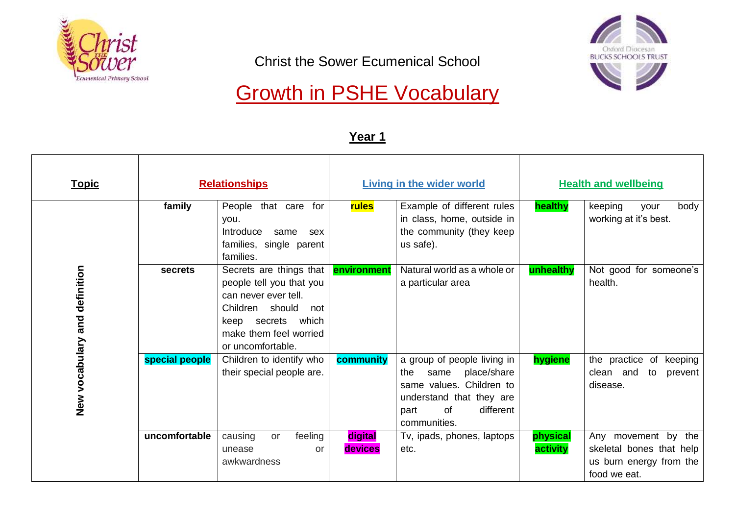

Christ the Sower Ecumenical School



# Growth in PSHE Vocabulary

| <u>Topic</u>                  |                | <b>Relationships</b>                                                                                                                                                       |                    | <b>Living in the wider world</b>                                                                                                                             |                      | <b>Health and wellbeing</b>                                                                |
|-------------------------------|----------------|----------------------------------------------------------------------------------------------------------------------------------------------------------------------------|--------------------|--------------------------------------------------------------------------------------------------------------------------------------------------------------|----------------------|--------------------------------------------------------------------------------------------|
|                               | family         | People that care for<br>you.<br>Introduce<br>same<br>sex<br>families, single parent<br>families.                                                                           | rules              | Example of different rules<br>in class, home, outside in<br>the community (they keep<br>us safe).                                                            | healthy              | keeping<br>body<br>your<br>working at it's best.                                           |
| New vocabulary and definition | <b>secrets</b> | Secrets are things that<br>people tell you that you<br>can never ever tell.<br>Children should<br>not<br>keep secrets which<br>make them feel worried<br>or uncomfortable. | environment        | Natural world as a whole or<br>a particular area                                                                                                             | unhealthy            | Not good for someone's<br>health.                                                          |
|                               | special people | Children to identify who<br>their special people are.                                                                                                                      | community          | a group of people living in<br>place/share<br>same<br>the<br>same values. Children to<br>understand that they are<br>different<br>0f<br>part<br>communities. | hygiene              | the practice of keeping<br>clean and to<br>prevent<br>disease.                             |
|                               | uncomfortable  | feeling<br>causing<br><b>or</b><br>unease<br>or<br>awkwardness                                                                                                             | digital<br>devices | Tv, ipads, phones, laptops<br>etc.                                                                                                                           | physical<br>activity | Any movement by the<br>skeletal bones that help<br>us burn energy from the<br>food we eat. |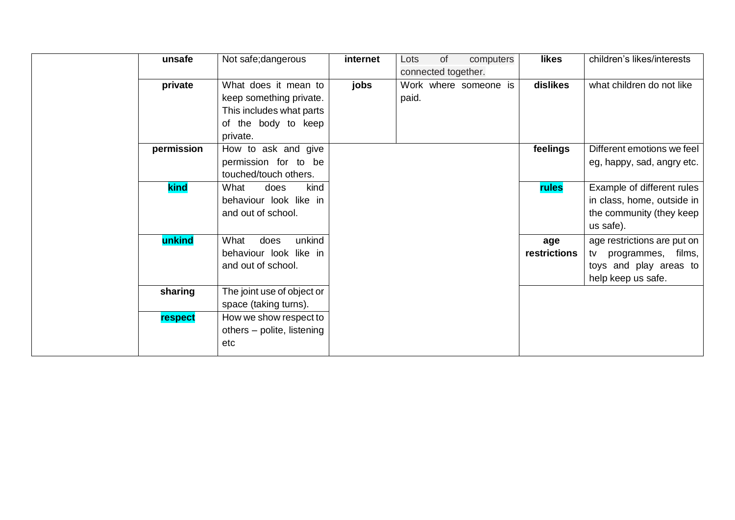| unsafe         | Not safe; dangerous        | internet | of<br>Lots          | computers             | likes        | children's likes/interests  |
|----------------|----------------------------|----------|---------------------|-----------------------|--------------|-----------------------------|
|                |                            |          | connected together. |                       |              |                             |
| private        | What does it mean to       | jobs     |                     | Work where someone is | dislikes     | what children do not like   |
|                | keep something private.    |          | paid.               |                       |              |                             |
|                | This includes what parts   |          |                     |                       |              |                             |
|                | of the body to keep        |          |                     |                       |              |                             |
|                | private.                   |          |                     |                       |              |                             |
| permission     | How to ask and give        |          |                     |                       | feelings     | Different emotions we feel  |
|                | permission for to be       |          |                     |                       |              | eg, happy, sad, angry etc.  |
|                | touched/touch others.      |          |                     |                       |              |                             |
| kind           | What<br>kind<br>does       |          |                     |                       | rules        | Example of different rules  |
|                | behaviour look like in     |          |                     |                       |              | in class, home, outside in  |
|                | and out of school.         |          |                     |                       |              | the community (they keep    |
|                |                            |          |                     |                       |              | us safe).                   |
| unkind         | unkind<br>What<br>does     |          |                     |                       | age          | age restrictions are put on |
|                | behaviour look like in     |          |                     |                       | restrictions | tv<br>programmes, films,    |
|                | and out of school.         |          |                     |                       |              | toys and play areas to      |
|                |                            |          |                     |                       |              | help keep us safe.          |
| sharing        | The joint use of object or |          |                     |                       |              |                             |
|                | space (taking turns).      |          |                     |                       |              |                             |
| <b>respect</b> | How we show respect to     |          |                     |                       |              |                             |
|                | others – polite, listening |          |                     |                       |              |                             |
|                | etc                        |          |                     |                       |              |                             |
|                |                            |          |                     |                       |              |                             |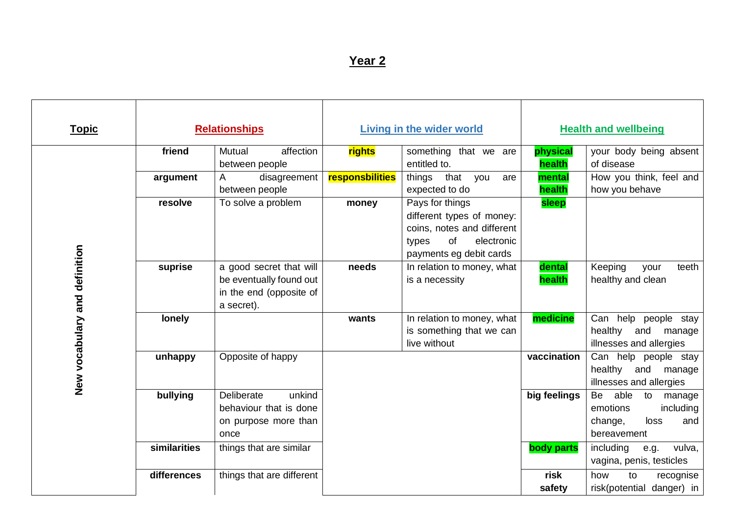| <b>Topic</b>                  |              | <b>Relationships</b>                                                                        |                 | <b>Living in the wider world</b>                                                                                                   |                    | <b>Health and wellbeing</b>                                                                  |
|-------------------------------|--------------|---------------------------------------------------------------------------------------------|-----------------|------------------------------------------------------------------------------------------------------------------------------------|--------------------|----------------------------------------------------------------------------------------------|
|                               | friend       | Mutual<br>affection<br>between people                                                       | rights          | something that we are<br>entitled to.                                                                                              | physical<br>health | your body being absent<br>of disease                                                         |
|                               | argument     | disagreement<br>A<br>between people                                                         | responsbilities | that<br>things<br>you<br>are<br>expected to do                                                                                     | mental<br>health   | How you think, feel and<br>how you behave                                                    |
|                               | resolve      | To solve a problem                                                                          | money           | Pays for things<br>different types of money:<br>coins, notes and different<br>of<br>electronic<br>types<br>payments eg debit cards | sleep              |                                                                                              |
| New vocabulary and definition | suprise      | a good secret that will<br>be eventually found out<br>in the end (opposite of<br>a secret). | needs           | In relation to money, what<br>is a necessity                                                                                       | dental<br>health   | Keeping<br>teeth<br>your<br>healthy and clean                                                |
|                               | lonely       |                                                                                             | wants           | In relation to money, what<br>is something that we can<br>live without                                                             | medicine           | Can help people stay<br>healthy<br>and<br>manage<br>illnesses and allergies                  |
|                               | unhappy      | Opposite of happy                                                                           |                 |                                                                                                                                    | vaccination        | Can help people stay<br>healthy<br>and<br>manage<br>illnesses and allergies                  |
|                               | bullying     | Deliberate<br>unkind<br>behaviour that is done<br>on purpose more than<br>once              |                 |                                                                                                                                    | big feelings       | able<br>Be<br>to<br>manage<br>emotions<br>including<br>loss<br>and<br>change,<br>bereavement |
|                               | similarities | things that are similar                                                                     |                 |                                                                                                                                    | body parts         | including<br>e.g.<br>vulva,<br>vagina, penis, testicles                                      |
|                               | differences  | things that are different                                                                   |                 |                                                                                                                                    | risk<br>safety     | how<br>to<br>recognise<br>risk(potential danger) in                                          |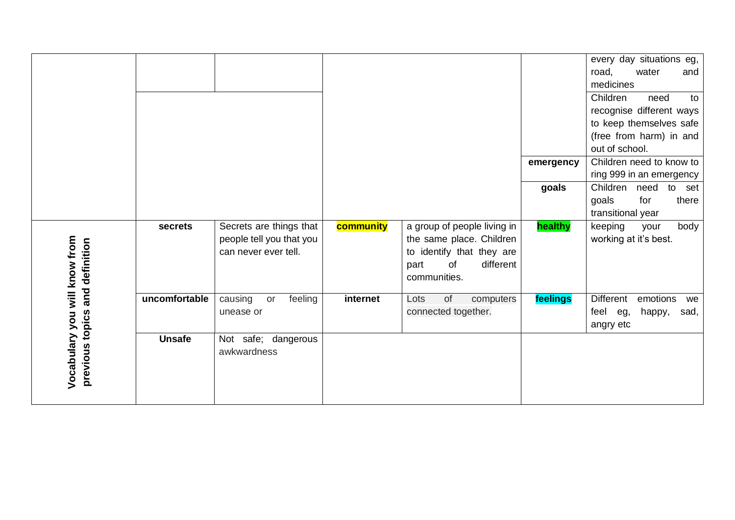|                                                 |               |                                                                             |           |                                                                                                                                 |           | every day situations eg,<br>road,<br>water<br>and<br>medicines<br>Children<br>need<br>to<br>recognise different ways<br>to keep themselves safe |
|-------------------------------------------------|---------------|-----------------------------------------------------------------------------|-----------|---------------------------------------------------------------------------------------------------------------------------------|-----------|-------------------------------------------------------------------------------------------------------------------------------------------------|
|                                                 |               |                                                                             |           |                                                                                                                                 |           | (free from harm) in and<br>out of school.                                                                                                       |
|                                                 |               |                                                                             |           |                                                                                                                                 | emergency | Children need to know to                                                                                                                        |
|                                                 |               |                                                                             |           |                                                                                                                                 |           | ring 999 in an emergency                                                                                                                        |
|                                                 |               |                                                                             |           |                                                                                                                                 | goals     | Children<br>need<br>to<br>set                                                                                                                   |
|                                                 |               |                                                                             |           |                                                                                                                                 |           | goals<br>for<br>there<br>transitional year                                                                                                      |
| Vocabulary you will know from<br>and definition | secrets       | Secrets are things that<br>people tell you that you<br>can never ever tell. | community | a group of people living in<br>the same place. Children<br>to identify that they are<br>different<br>of<br>part<br>communities. | healthy   | body<br>keeping<br>your<br>working at it's best.                                                                                                |
|                                                 | uncomfortable | causing<br>feeling<br>or<br>unease or                                       | internet  | of<br>Lots<br>computers<br>connected together.                                                                                  | feelings  | Different<br>emotions<br>we<br>feel eg,<br>happy,<br>sad,<br>angry etc                                                                          |
| previous topics                                 | <b>Unsafe</b> | Not safe; dangerous<br>awkwardness                                          |           |                                                                                                                                 |           |                                                                                                                                                 |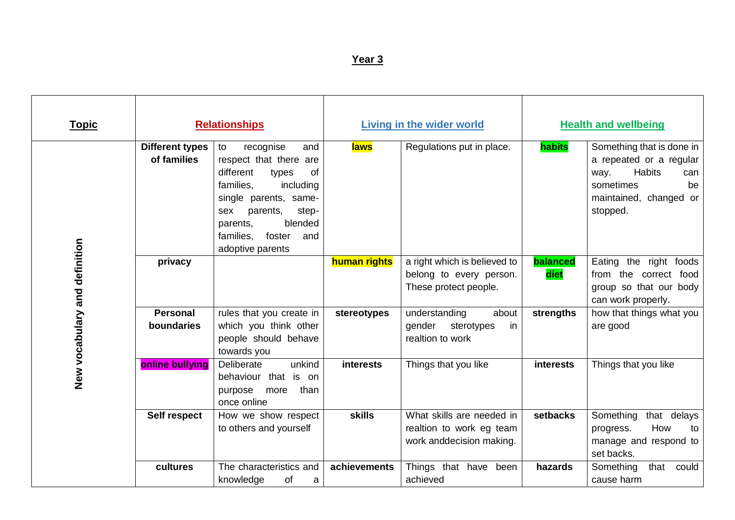| <u>Topic</u>                  |                                       | <b>Relationships</b>                                                                                                                                                                                                                 |                  | <b>Living in the wider world</b>                                                  |                  | <b>Health and wellbeing</b>                                                                                                                   |
|-------------------------------|---------------------------------------|--------------------------------------------------------------------------------------------------------------------------------------------------------------------------------------------------------------------------------------|------------------|-----------------------------------------------------------------------------------|------------------|-----------------------------------------------------------------------------------------------------------------------------------------------|
| New vocabulary and definition | <b>Different types</b><br>of families | recognise<br>and<br>to<br>respect that there are<br>different<br>of<br>types<br>families.<br>including<br>single parents, same-<br>parents,<br>step-<br>sex<br>blended<br>parents,<br>families,<br>foster<br>and<br>adoptive parents | <b>laws</b>      | Regulations put in place.                                                         | habits           | Something that is done in<br>a repeated or a regular<br><b>Habits</b><br>way.<br>can<br>sometimes<br>be<br>maintained, changed or<br>stopped. |
|                               | privacy                               |                                                                                                                                                                                                                                      | human rights     | a right which is believed to<br>belong to every person.<br>These protect people.  | balanced<br>diet | Eating the right foods<br>from the correct food<br>group so that our body<br>can work properly.                                               |
|                               | <b>Personal</b><br>boundaries         | rules that you create in<br>which you think other<br>people should behave<br>towards you                                                                                                                                             | stereotypes      | understanding<br>about<br>gender<br>sterotypes<br>in<br>realtion to work          | strengths        | how that things what you<br>are good                                                                                                          |
|                               | online bullying                       | unkind<br>Deliberate<br>behaviour that is on<br>than<br>purpose<br>more<br>once online                                                                                                                                               | <b>interests</b> | Things that you like                                                              | <b>interests</b> | Things that you like                                                                                                                          |
|                               | Self respect                          | How we show respect<br>to others and yourself                                                                                                                                                                                        | <b>skills</b>    | What skills are needed in<br>realtion to work eg team<br>work anddecision making. | setbacks         | Something<br>that delays<br>How<br>to<br>progress.<br>manage and respond to<br>set backs.                                                     |
|                               | cultures                              | The characteristics and<br>knowledge<br>of<br>a                                                                                                                                                                                      | achievements     | Things that have been<br>achieved                                                 | hazards          | Something<br>that<br>could<br>cause harm                                                                                                      |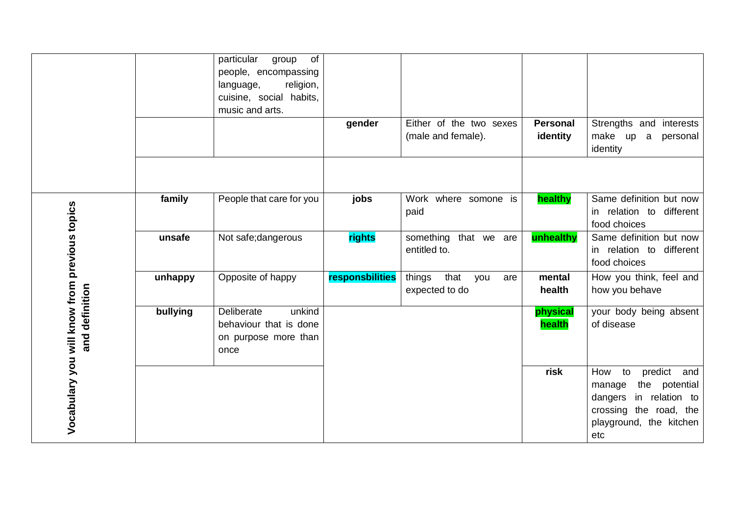|                                               |          | particular<br>of<br>group<br>people, encompassing<br>religion,<br>language,<br>cuisine, social habits,<br>music and arts. | gender          | Either of the two sexes<br>(male and female).  | <b>Personal</b><br>identity | Strengths and interests<br>make up<br>personal<br>a<br>identity                                                                                 |
|-----------------------------------------------|----------|---------------------------------------------------------------------------------------------------------------------------|-----------------|------------------------------------------------|-----------------------------|-------------------------------------------------------------------------------------------------------------------------------------------------|
|                                               |          |                                                                                                                           |                 |                                                |                             |                                                                                                                                                 |
|                                               | family   | People that care for you                                                                                                  | jobs            | Work where somone is<br>paid                   | healthy                     | Same definition but now<br>in relation to different<br>food choices                                                                             |
|                                               | unsafe   | Not safe; dangerous                                                                                                       | rights          | something that we are<br>entitled to.          | unhealthy                   | Same definition but now<br>in relation to different<br>food choices                                                                             |
|                                               | unhappy  | Opposite of happy                                                                                                         | responsbilities | that<br>things<br>you<br>are<br>expected to do | mental<br>health            | How you think, feel and<br>how you behave                                                                                                       |
| and definition                                | bullying | Deliberate<br>unkind<br>behaviour that is done<br>on purpose more than<br>once                                            |                 |                                                | physical<br>health          | your body being absent<br>of disease                                                                                                            |
| Vocabulary you will know from previous topics |          |                                                                                                                           |                 |                                                | risk                        | predict<br>How<br>to<br>and<br>the potential<br>manage<br>in relation to<br>dangers<br>crossing the road, the<br>playground, the kitchen<br>etc |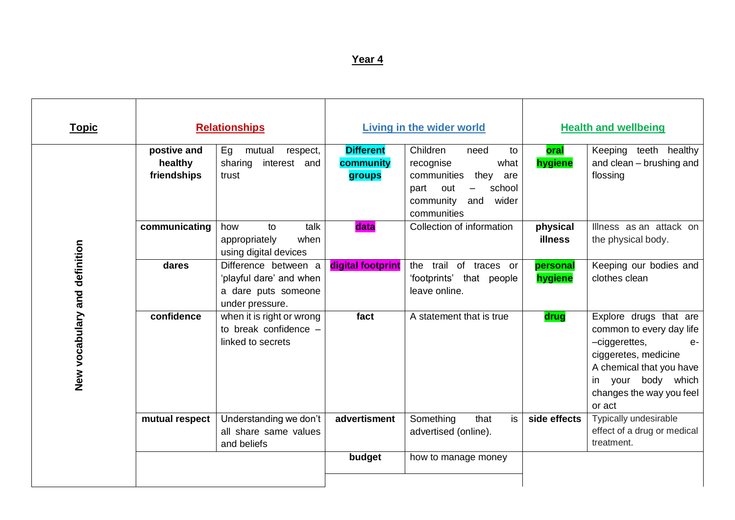| <b>Topic</b>                  |                                       | <b>Relationships</b>                                                                      |                                         | <b>Living in the wider world</b>                                                                                                                                           |                            | <b>Health and wellbeing</b>                                                                                                                                                                    |
|-------------------------------|---------------------------------------|-------------------------------------------------------------------------------------------|-----------------------------------------|----------------------------------------------------------------------------------------------------------------------------------------------------------------------------|----------------------------|------------------------------------------------------------------------------------------------------------------------------------------------------------------------------------------------|
|                               | postive and<br>healthy<br>friendships | Eg<br>mutual<br>respect,<br>interest and<br>sharing<br>trust                              | <b>Different</b><br>community<br>groups | Children<br>need<br>to<br>recognise<br>what<br>they<br>communities<br>are<br>out<br>school<br>part<br>$\overline{\phantom{0}}$<br>community<br>and<br>wider<br>communities | oral<br>hygiene            | Keeping teeth healthy<br>and clean - brushing and<br>flossing                                                                                                                                  |
|                               | communicating                         | talk<br>to<br>how<br>appropriately<br>when<br>using digital devices                       | data                                    | Collection of information                                                                                                                                                  | physical<br><b>illness</b> | Illness as an attack on<br>the physical body.                                                                                                                                                  |
|                               | dares                                 | Difference between a<br>'playful dare' and when<br>a dare puts someone<br>under pressure. | digital footprint                       | trail<br>the<br>of traces or<br>'footprints' that people<br>leave online.                                                                                                  | personal<br>hygiene        | Keeping our bodies and<br>clothes clean                                                                                                                                                        |
| New vocabulary and definition | confidence                            | when it is right or wrong<br>to break confidence -<br>linked to secrets                   | fact                                    | A statement that is true                                                                                                                                                   | drug                       | Explore drugs that are<br>common to every day life<br>-ciggerettes,<br>$e-$<br>ciggeretes, medicine<br>A chemical that you have<br>your body which<br>in<br>changes the way you feel<br>or act |
|                               | mutual respect                        | Understanding we don't<br>all share same values<br>and beliefs                            | advertisment                            | Something<br>that<br>is<br>advertised (online).                                                                                                                            | side effects               | Typically undesirable<br>effect of a drug or medical<br>treatment.                                                                                                                             |
|                               |                                       |                                                                                           | budget                                  | how to manage money                                                                                                                                                        |                            |                                                                                                                                                                                                |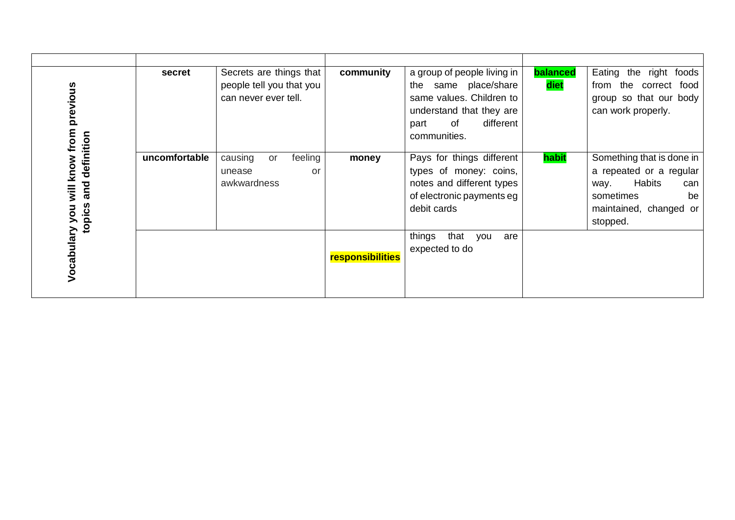| will know from previous  | secret        | Secrets are things that<br>people tell you that you<br>can never ever tell. | community        | a group of people living in<br>same place/share<br>the<br>same values. Children to<br>understand that they are<br>of<br>different<br>part<br>communities. | balanced<br>diet | Eating the right foods<br>from the correct food<br>group so that our body<br>can work properly.                                               |
|--------------------------|---------------|-----------------------------------------------------------------------------|------------------|-----------------------------------------------------------------------------------------------------------------------------------------------------------|------------------|-----------------------------------------------------------------------------------------------------------------------------------------------|
| and definition<br>topics | uncomfortable | causing<br>feeling<br>or<br>unease<br>or<br>awkwardness                     | money            | Pays for things different<br>types of money: coins,<br>notes and different types<br>of electronic payments eg<br>debit cards                              | habit            | Something that is done in<br>a repeated or a regular<br><b>Habits</b><br>way.<br>can<br>sometimes<br>be<br>maintained, changed or<br>stopped. |
| Vocabulary you           |               |                                                                             | responsibilities | that<br>things<br>you<br>are<br>expected to do                                                                                                            |                  |                                                                                                                                               |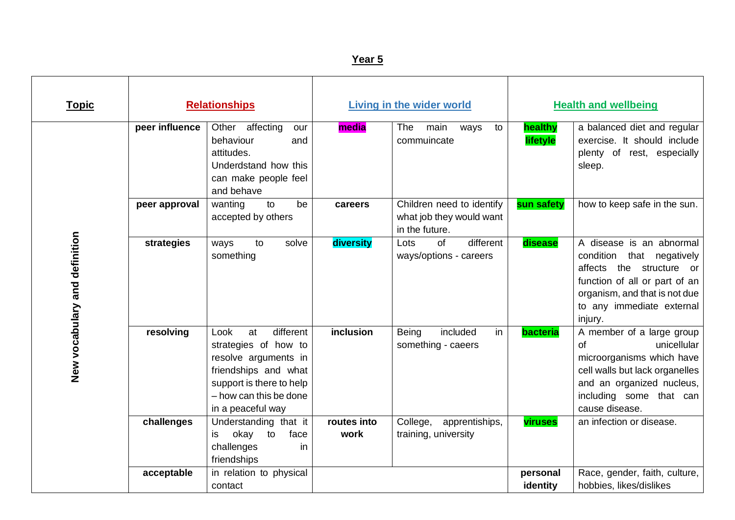| <b>Topic</b>                  |                | <b>Relationships</b>                                                                                                                                                       |                     | <b>Living in the wider world</b>                                        |                      | <b>Health and wellbeing</b>                                                                                                                                                                 |
|-------------------------------|----------------|----------------------------------------------------------------------------------------------------------------------------------------------------------------------------|---------------------|-------------------------------------------------------------------------|----------------------|---------------------------------------------------------------------------------------------------------------------------------------------------------------------------------------------|
|                               | peer influence | Other affecting<br>our<br>behaviour<br>and<br>attitudes.<br>Underdstand how this<br>can make people feel<br>and behave                                                     | media               | <b>The</b><br>main<br>ways<br>to<br>commuincate                         | healthy<br>lifetyle  | a balanced diet and regular<br>exercise. It should include<br>plenty of rest, especially<br>sleep.                                                                                          |
|                               | peer approval  | wanting<br>to<br>be<br>accepted by others                                                                                                                                  | careers             | Children need to identify<br>what job they would want<br>in the future. | sun safety           | how to keep safe in the sun.                                                                                                                                                                |
| New vocabulary and definition | strategies     | solve<br>to<br>ways<br>something                                                                                                                                           | diversity           | different<br>of<br>Lots<br>ways/options - careers                       | disease              | A disease is an abnormal<br>condition that negatively<br>affects the structure or<br>function of all or part of an<br>organism, and that is not due<br>to any immediate external<br>injury. |
|                               | resolving      | different<br>Look<br>at<br>strategies of how to<br>resolve arguments in<br>friendships and what<br>support is there to help<br>- how can this be done<br>in a peaceful way | inclusion           | included<br>in<br>Being<br>something - caeers                           | bacteria             | A member of a large group<br>unicellular<br>of<br>microorganisms which have<br>cell walls but lack organelles<br>and an organized nucleus,<br>including some that can<br>cause disease.     |
|                               | challenges     | Understanding that it<br>okay<br>face<br>to<br>is<br>challenges<br>in<br>friendships                                                                                       | routes into<br>work | College,<br>apprentiships,<br>training, university                      | viruses              | an infection or disease.                                                                                                                                                                    |
|                               | acceptable     | in relation to physical<br>contact                                                                                                                                         |                     |                                                                         | personal<br>identity | Race, gender, faith, culture,<br>hobbies, likes/dislikes                                                                                                                                    |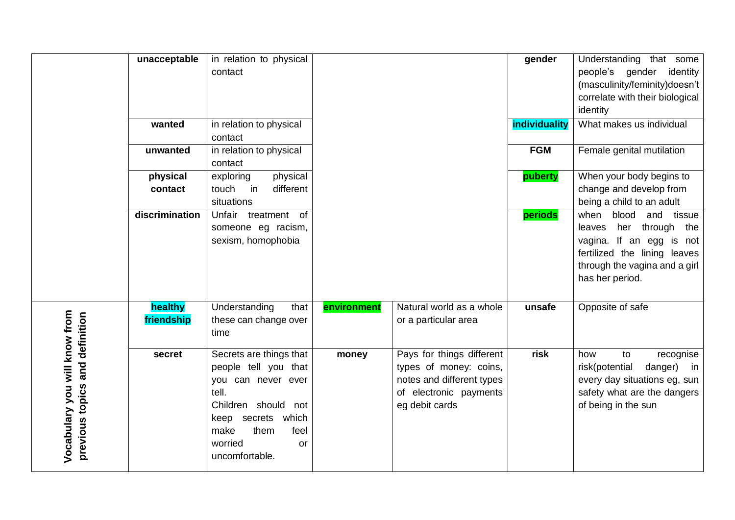|                                                                 | unacceptable          | in relation to physical<br>contact                                                                                                                                                        |             |                                                                                                                              | gender        | Understanding that some<br>people's gender identity<br>(masculinity/feminity)doesn't<br>correlate with their biological<br>identity                                            |
|-----------------------------------------------------------------|-----------------------|-------------------------------------------------------------------------------------------------------------------------------------------------------------------------------------------|-------------|------------------------------------------------------------------------------------------------------------------------------|---------------|--------------------------------------------------------------------------------------------------------------------------------------------------------------------------------|
|                                                                 | wanted                | in relation to physical<br>contact                                                                                                                                                        |             |                                                                                                                              | individuality | What makes us individual                                                                                                                                                       |
|                                                                 | unwanted              | in relation to physical<br>contact                                                                                                                                                        |             |                                                                                                                              | <b>FGM</b>    | Female genital mutilation                                                                                                                                                      |
|                                                                 | physical<br>contact   | physical<br>exploring<br>different<br>touch<br>in<br>situations                                                                                                                           |             |                                                                                                                              | puberty       | When your body begins to<br>change and develop from<br>being a child to an adult                                                                                               |
|                                                                 | discrimination        | Unfair treatment of<br>someone eg racism,<br>sexism, homophobia                                                                                                                           |             |                                                                                                                              | periods       | blood<br>when<br>and<br>tissue<br>her through<br>the<br>leaves<br>vagina. If an egg is not<br>fertilized the lining leaves<br>through the vagina and a girl<br>has her period. |
|                                                                 | healthy<br>friendship | Understanding<br>that<br>these can change over<br>time                                                                                                                                    | environment | Natural world as a whole<br>or a particular area                                                                             | unsafe        | Opposite of safe                                                                                                                                                               |
| Vocabulary you will know from<br>previous topics and definition | secret                | Secrets are things that<br>people tell you that<br>you can never ever<br>tell.<br>Children should<br>not<br>keep secrets which<br>make<br>feel<br>them<br>worried<br>or<br>uncomfortable. | money       | Pays for things different<br>types of money: coins,<br>notes and different types<br>of electronic payments<br>eg debit cards | risk          | how<br>to<br>recognise<br>risk(potential<br>danger)<br>in<br>every day situations eg, sun<br>safety what are the dangers<br>of being in the sun                                |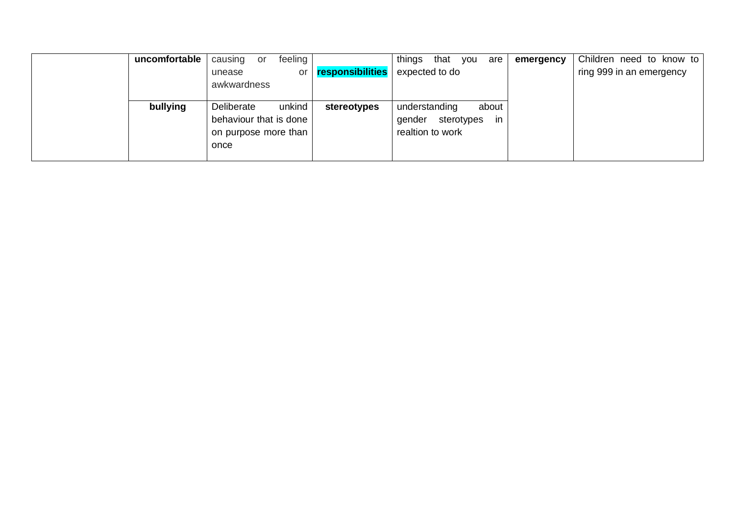| uncomfortable | causing<br>or                | feeling |                  | that<br>things<br>you | are   | emergency | Children need to know to |
|---------------|------------------------------|---------|------------------|-----------------------|-------|-----------|--------------------------|
|               | unease                       | or      | responsibilities | expected to do        |       |           | ring 999 in an emergency |
|               | awkwardness                  |         |                  |                       |       |           |                          |
| bullying      | Deliberate                   | unkind  | stereotypes      | understanding         | about |           |                          |
|               | behaviour that is done       |         |                  | sterotypes<br>gender  | -in   |           |                          |
|               | on purpose more than<br>once |         |                  | realtion to work      |       |           |                          |
|               |                              |         |                  |                       |       |           |                          |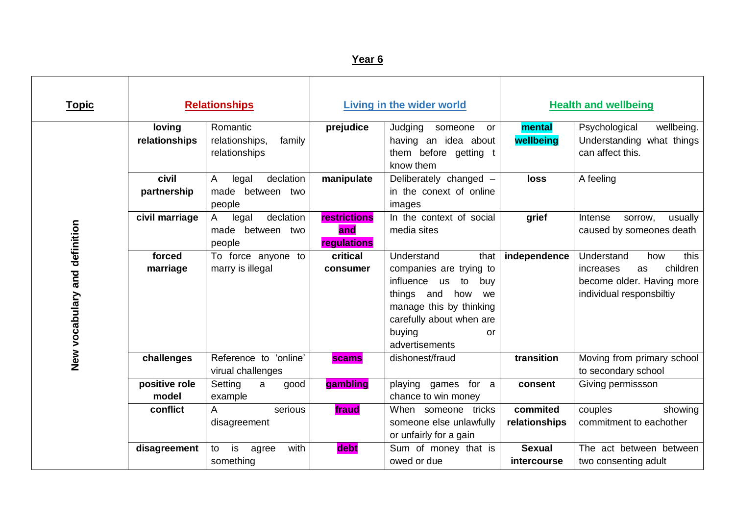| <b>Topic</b>                  |                         | <b>Relationships</b>                                     | <b>Living in the wider world</b>          |                                                                                                                                                                                                | <b>Health and wellbeing</b>         |                                                                                                                   |
|-------------------------------|-------------------------|----------------------------------------------------------|-------------------------------------------|------------------------------------------------------------------------------------------------------------------------------------------------------------------------------------------------|-------------------------------------|-------------------------------------------------------------------------------------------------------------------|
|                               | loving<br>relationships | Romantic<br>relationships,<br>family<br>relationships    | prejudice                                 | Judging<br>someone<br>or<br>having an idea about<br>them before getting t<br>know them                                                                                                         | mental<br>wellbeing                 | wellbeing.<br>Psychological<br>Understanding what things<br>can affect this.                                      |
| New vocabulary and definition | civil<br>partnership    | declation<br>Α<br>legal<br>between two<br>made<br>people | manipulate                                | Deliberately changed -<br>in the conext of online<br>images                                                                                                                                    | loss                                | A feeling                                                                                                         |
|                               | civil marriage          | declation<br>legal<br>A<br>made between two<br>people    | <b>restrictions</b><br>and<br>regulations | In the context of social<br>media sites                                                                                                                                                        | grief                               | usually<br>Intense<br>sorrow.<br>caused by someones death                                                         |
|                               | forced<br>marriage      | To force anyone to<br>marry is illegal                   | critical<br>consumer                      | Understand<br>that<br>companies are trying to<br>influence us<br>buy<br>to<br>things and<br>how<br>we<br>manage this by thinking<br>carefully about when are<br>buying<br>or<br>advertisements | independence                        | Understand<br>this<br>how<br>children<br>increases<br>as<br>become older. Having more<br>individual responsbiltiy |
|                               | challenges              | Reference to 'online'<br>virual challenges               | scams                                     | dishonest/fraud                                                                                                                                                                                | transition                          | Moving from primary school<br>to secondary school                                                                 |
|                               | positive role<br>model  | Setting<br>a<br>good<br>example                          | gambling                                  | playing games<br>for a<br>chance to win money                                                                                                                                                  | consent                             | Giving permissson                                                                                                 |
|                               | conflict                | A<br>serious<br>disagreement                             | fraud                                     | When someone tricks<br>someone else unlawfully<br>or unfairly for a gain                                                                                                                       | commited<br>relationships           | couples<br>showing<br>commitment to eachother                                                                     |
|                               | disagreement            | is<br>with<br>to<br>agree<br>something                   | debt                                      | Sum of money that is<br>owed or due                                                                                                                                                            | <b>Sexual</b><br><i>intercourse</i> | The act between between<br>two consenting adult                                                                   |